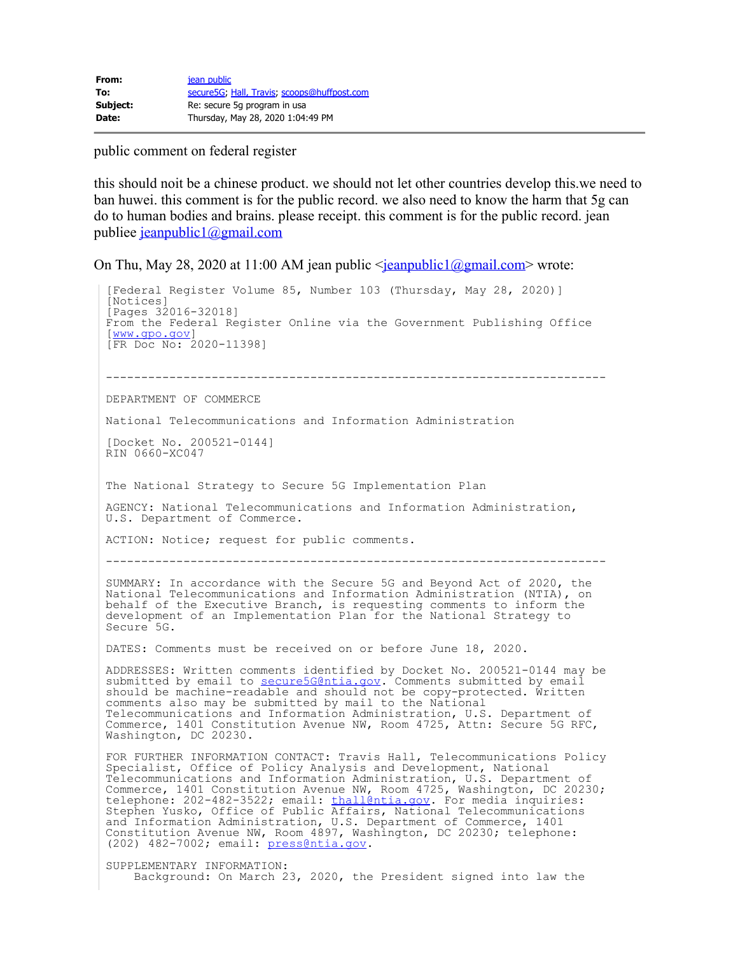public comment on federal register

this should noit be a chinese product. we should not let other countries develop this.we need to ban huwei. this comment is for the public record. we also need to know the harm that 5g can do to human bodies and brains. please receipt. this comment is for the public record. jean publiee [jeanpublic1@gmail.com](mailto:jeanpublic1@gmail.com)

On Thu, May 28, 2020 at 11:00 AM jean public  $\frac{\text{gamma-1}}{2}$  = \left{mail.com \modes wrote:

[Federal Register Volume 85, Number 103 (Thursday, May 28, 2020)] [Notices] [Pages 32016-32018] From the Federal Register Online via the Government Publishing Office [\[www.gpo.gov](https://gcc01.safelinks.protection.outlook.com/?url=http%3A%2F%2Fwww.gpo.gov%2F&data=02%7C01%7Csecure5g%40ntia.gov%7C5b23f1dab1304371df4508d80329399f%7Cd6cff1bd67dd4ce8945dd07dc775672f%7C0%7C1%7C637262822883818726&sdata=N6FfZIpSTx145hS8IAoVeua1xYZ6rA3D3Y5t%2B4KiW%2FM%3D&reserved=0)] [FR Doc No: 2020-11398] ----------------------------------------------------------------------- DEPARTMENT OF COMMERCE National Telecommunications and Information Administration [Docket No. 200521-0144] RIN 0660-XC047 The National Strategy to Secure 5G Implementation Plan AGENCY: National Telecommunications and Information Administration, U.S. Department of Commerce. ACTION: Notice; request for public comments. ----------------------------------------------------------------------- SUMMARY: In accordance with the Secure 5G and Beyond Act of 2020, the National Telecommunications and Information Administration (NTIA), on behalf of the Executive Branch, is requesting comments to inform the development of an Implementation Plan for the National Strategy to Secure 5G. DATES: Comments must be received on or before June 18, 2020. ADDRESSES: Written comments identified by Docket No. 200521-0144 may be submitted by email to <u>secure5G@ntia.gov</u>. Comments submitted by email should be machine-readable and should not be copy-protected. Written comments also may be submitted by mail to the National Telecommunications and Information Administration, U.S. Department of Commerce, 1401 Constitution Avenue NW, Room 4725, Attn: Secure 5G RFC, Washington, DC 20230. FOR FURTHER INFORMATION CONTACT: Travis Hall, Telecommunications Policy Specialist, Office of Policy Analysis and Development, National Telecommunications and Information Administration, U.S. Department of Commerce, 1401 Constitution Avenue NW, Room 4725, Washington, DC 20230; telephone: 202-482-3522; email: <u>thall@ntia.gov</u>. For media inquiries: Stephen Yusko, Office of Public Affairs, National Telecommunications and Information Administration, U.S. Department of Commerce, 1401 Constitution Avenue NW, Room 4897, Washington, DC 20230; telephone: (202) 482-7002; email: [press@ntia.gov](mailto:press@ntia.gov). SUPPLEMENTARY INFORMATION: Background: On March 23, 2020, the President signed into law the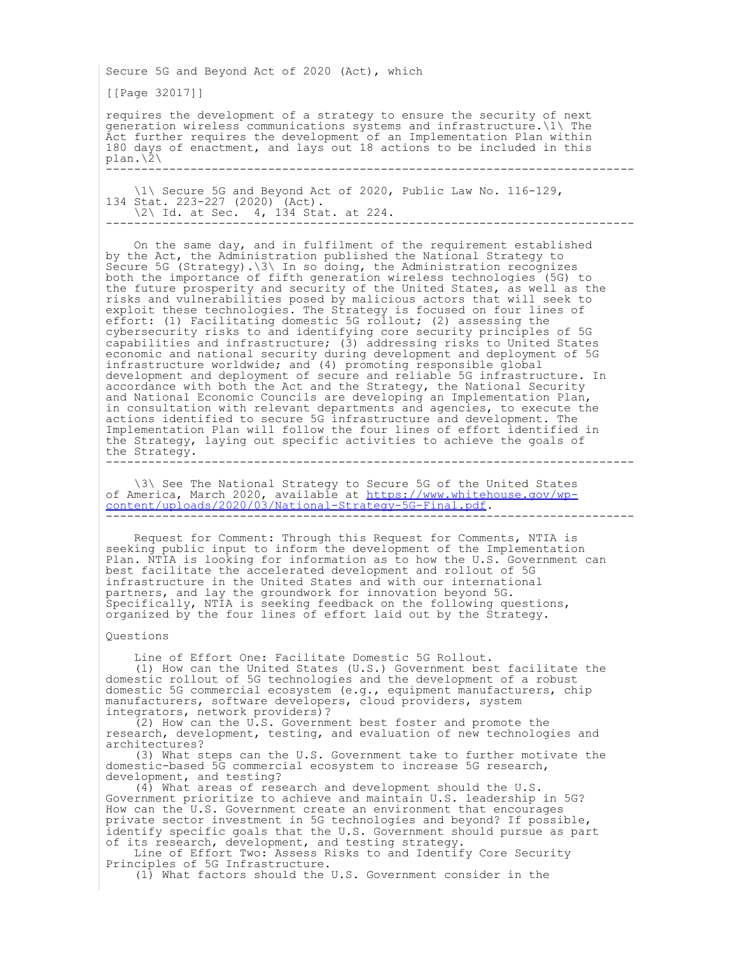Secure 5G and Beyond Act of 2020 (Act), which

[[Page 32017]]

requires the development of a strategy to ensure the security of next generation wireless communications systems and infrastructure.\1\ The Act further requires the development of an Implementation Plan within 180 days of enactment, and lays out 18 actions to be included in this  $plan. \langle \overline{2} \rangle$ ---------------------------------------------------------------------------

 $\sim$  \1\ Secure 5G and Beyond Act of 2020, Public Law No. 116-129, 134 Stat. 223-227 (2020) (Act). \2\ Id. at Sec. 4, 134 Stat. at 224. ---------------------------------------------------------------------------

 On the same day, and in fulfilment of the requirement established by the Act, the Administration published the National Strategy to Secure 5G (Strategy).\3\ In so doing, the Administration recognizes both the importance of fifth generation wireless technologies (5G) to the future prosperity and security of the United States, as well as the risks and vulnerabilities posed by malicious actors that will seek to exploit these technologies. The Strategy is focused on four lines of effort: (1) Facilitating domestic 5G rollout; (2) assessing the cybersecurity risks to and identifying core security principles of 5G capabilities and infrastructure; (3) addressing risks to United States economic and national security during development and deployment of 5G infrastructure worldwide; and (4) promoting responsible global development and deployment of secure and reliable 5G infrastructure. In accordance with both the Act and the Strategy, the National Security and National Economic Councils are developing an Implementation Plan, in consultation with relevant departments and agencies, to execute the actions identified to secure 5G infrastructure and development. The Implementation Plan will follow the four lines of effort identified in the Strategy, laying out specific activities to achieve the goals of the Strategy. ---------------------------------------------------------------------------

 $\sim$   $\sqrt{3}\sqrt{3}$  See The National Strategy to Secure 5G of the United States of America, March 2020, available at [https://www.whitehouse.gov/wp](https://gcc01.safelinks.protection.outlook.com/?url=https%3A%2F%2Fwww.whitehouse.gov%2Fwp-content%2Fuploads%2F2020%2F03%2FNational-Strategy-5G-Final.pdf&data=02%7C01%7Csecure5g%40ntia.gov%7C5b23f1dab1304371df4508d80329399f%7Cd6cff1bd67dd4ce8945dd07dc775672f%7C0%7C1%7C637262822883828677&sdata=0fetH3LY%2F3nWW4LwmcQRppODxdHEwQxGth6cqR6z%2Be8%3D&reserved=0)[content/uploads/2020/03/National-Strategy-5G-Final.pdf.](https://gcc01.safelinks.protection.outlook.com/?url=https%3A%2F%2Fwww.whitehouse.gov%2Fwp-content%2Fuploads%2F2020%2F03%2FNational-Strategy-5G-Final.pdf&data=02%7C01%7Csecure5g%40ntia.gov%7C5b23f1dab1304371df4508d80329399f%7Cd6cff1bd67dd4ce8945dd07dc775672f%7C0%7C1%7C637262822883828677&sdata=0fetH3LY%2F3nWW4LwmcQRppODxdHEwQxGth6cqR6z%2Be8%3D&reserved=0) ---------------------------------------------------------------------------

 Request for Comment: Through this Request for Comments, NTIA is seeking public input to inform the development of the Implementation Plan. NTIA is looking for information as to how the U.S. Government can best facilitate the accelerated development and rollout of 5G infrastructure in the United States and with our international partners, and lay the groundwork for innovation beyond 5G. Specifically, NTIA is seeking feedback on the following questions, organized by the four lines of effort laid out by the Strategy.

## Questions

Line of Effort One: Facilitate Domestic 5G Rollout.

 (1) How can the United States (U.S.) Government best facilitate the domestic rollout of 5G technologies and the development of a robust domestic 5G commercial ecosystem (e.g., equipment manufacturers, chip manufacturers, software developers, cloud providers, system integrators, network providers)?

 $(2)$  How can the U.S. Government best foster and promote the research, development, testing, and evaluation of new technologies and architectures?

 (3) What steps can the U.S. Government take to further motivate the domestic-based 5G commercial ecosystem to increase 5G research, development, and testing?

 (4) What areas of research and development should the U.S. Government prioritize to achieve and maintain U.S. leadership in 5G? How can the U.S. Government create an environment that encourages private sector investment in 5G technologies and beyond? If possible, identify specific goals that the U.S. Government should pursue as part of its research, development, and testing strategy.

 Line of Effort Two: Assess Risks to and Identify Core Security Principles of 5G Infrastructure.

(1) What factors should the U.S. Government consider in the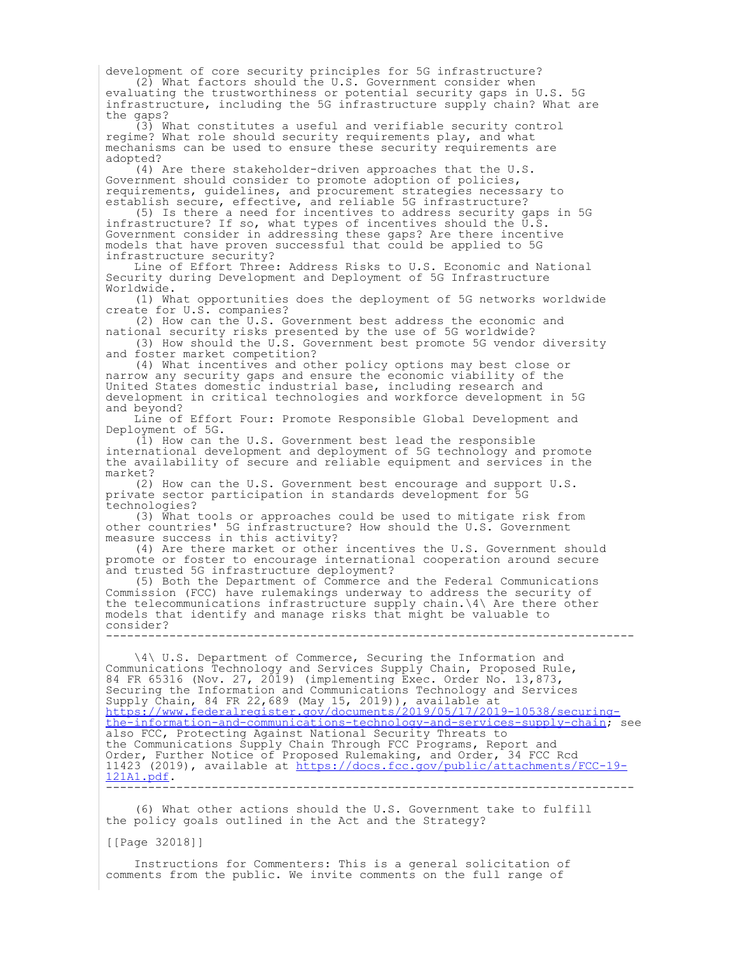development of core security principles for 5G infrastructure? (2) What factors should the U.S. Government consider when

evaluating the trustworthiness or potential security gaps in U.S. 5G infrastructure, including the 5G infrastructure supply chain? What are the gaps?

 (3) What constitutes a useful and verifiable security control regime? What role should security requirements play, and what mechanisms can be used to ensure these security requirements are adopted?

 (4) Are there stakeholder-driven approaches that the U.S. Government should consider to promote adoption of policies, requirements, guidelines, and procurement strategies necessary to establish secure, effective, and reliable 5G infrastructure?

 (5) Is there a need for incentives to address security gaps in 5G infrastructure? If so, what types of incentives should the U.S. Government consider in addressing these gaps? Are there incentive models that have proven successful that could be applied to 5G infrastructure security?

 Line of Effort Three: Address Risks to U.S. Economic and National Security during Development and Deployment of 5G Infrastructure Worldwide.

 (1) What opportunities does the deployment of 5G networks worldwide create for U.S. companies?

 (2) How can the U.S. Government best address the economic and national security risks presented by the use of 5G worldwide?

 (3) How should the U.S. Government best promote 5G vendor diversity and foster market competition?

 (4) What incentives and other policy options may best close or narrow any security gaps and ensure the economic viability of the United States domestic industrial base, including research and development in critical technologies and workforce development in 5G and beyond?

 Line of Effort Four: Promote Responsible Global Development and Deployment of 5G.

 $(\overline{1})$  How can the U.S. Government best lead the responsible international development and deployment of 5G technology and promote the availability of secure and reliable equipment and services in the market?

 (2) How can the U.S. Government best encourage and support U.S. private sector participation in standards development for 5G technologies?

 (3) What tools or approaches could be used to mitigate risk from other countries' 5G infrastructure? How should the U.S. Government measure success in this activity?

 (4) Are there market or other incentives the U.S. Government should promote or foster to encourage international cooperation around secure and trusted 5G infrastructure deployment?

 (5) Both the Department of Commerce and the Federal Communications Commission (FCC) have rulemakings underway to address the security of the telecommunications infrastructure supply chain.\4\ Are there other models that identify and manage risks that might be valuable to consider? ---------------------------------------------------------------------------

 \4\ U.S. Department of Commerce, Securing the Information and Communications Technology and Services Supply Chain, Proposed Rule, 84 FR 65316 (Nov. 27, 2019) (implementing Exec. Order No. 13,873, Securing the Information and Communications Technology and Services Supply Chain, 84 FR 22,689 (May 15, 2019)), available at [https://www.federalregister.gov/documents/2019/05/17/2019-10538/securing](https://gcc01.safelinks.protection.outlook.com/?url=https%3A%2F%2Fwww.federalregister.gov%2Fdocuments%2F2019%2F05%2F17%2F2019-10538%2Fsecuring-the-information-and-communications-technology-and-services-supply-chain&data=02%7C01%7Csecure5g%40ntia.gov%7C5b23f1dab1304371df4508d80329399f%7Cd6cff1bd67dd4ce8945dd07dc775672f%7C0%7C1%7C637262822883828677&sdata=11W%2F0SOkJQ1w8sQQ%2Fz1PteISEsnwm2QNGIThjQGtasY%3D&reserved=0)[the-information-and-communications-technology-and-services-supply-chain](https://gcc01.safelinks.protection.outlook.com/?url=https%3A%2F%2Fwww.federalregister.gov%2Fdocuments%2F2019%2F05%2F17%2F2019-10538%2Fsecuring-the-information-and-communications-technology-and-services-supply-chain&data=02%7C01%7Csecure5g%40ntia.gov%7C5b23f1dab1304371df4508d80329399f%7Cd6cff1bd67dd4ce8945dd07dc775672f%7C0%7C1%7C637262822883828677&sdata=11W%2F0SOkJQ1w8sQQ%2Fz1PteISEsnwm2QNGIThjQGtasY%3D&reserved=0); see also FCC, Protecting Against National Security Threats to the Communications Supply Chain Through FCC Programs, Report and Order, Further Notice of Proposed Rulemaking, and Order, 34 FCC Rcd 11423 (2019), available at [https://docs.fcc.gov/public/attachments/FCC-19-](https://gcc01.safelinks.protection.outlook.com/?url=https%3A%2F%2Fdocs.fcc.gov%2Fpublic%2Fattachments%2FFCC-19-121A1.pdf&data=02%7C01%7Csecure5g%40ntia.gov%7C5b23f1dab1304371df4508d80329399f%7Cd6cff1bd67dd4ce8945dd07dc775672f%7C0%7C1%7C637262822883838636&sdata=lHfKQo8IQzBw721%2FwEKXMqrx9LqBeIn1GIYqS%2F5xH%2B8%3D&reserved=0) [121A1.pdf.](https://gcc01.safelinks.protection.outlook.com/?url=https%3A%2F%2Fdocs.fcc.gov%2Fpublic%2Fattachments%2FFCC-19-121A1.pdf&data=02%7C01%7Csecure5g%40ntia.gov%7C5b23f1dab1304371df4508d80329399f%7Cd6cff1bd67dd4ce8945dd07dc775672f%7C0%7C1%7C637262822883838636&sdata=lHfKQo8IQzBw721%2FwEKXMqrx9LqBeIn1GIYqS%2F5xH%2B8%3D&reserved=0) ---------------------------------------------------------------------------

 (6) What other actions should the U.S. Government take to fulfill the policy goals outlined in the Act and the Strategy?

[[Page 32018]]

 Instructions for Commenters: This is a general solicitation of comments from the public. We invite comments on the full range of